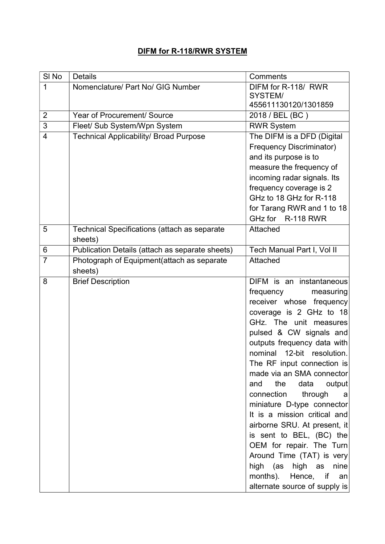## DIFM for R-118/RWR SYSTEM

| SI <sub>No</sub> | <b>Details</b>                                  | Comments                        |
|------------------|-------------------------------------------------|---------------------------------|
| 1                | Nomenclature/ Part No/ GIG Number               | DIFM for R-118/ RWR             |
|                  |                                                 | SYSTEM/                         |
|                  |                                                 | 455611130120/1301859            |
| $\overline{2}$   | Year of Procurement/ Source                     | 2018 / BEL (BC)                 |
| 3                | Fleet/ Sub System/Wpn System                    | <b>RWR System</b>               |
| $\overline{4}$   | <b>Technical Applicability/ Broad Purpose</b>   | The DIFM is a DFD (Digital      |
|                  |                                                 | <b>Frequency Discriminator)</b> |
|                  |                                                 | and its purpose is to           |
|                  |                                                 | measure the frequency of        |
|                  |                                                 | incoming radar signals. Its     |
|                  |                                                 | frequency coverage is 2         |
|                  |                                                 | GHz to 18 GHz for R-118         |
|                  |                                                 | for Tarang RWR and 1 to 18      |
|                  |                                                 | GHz for R-118 RWR               |
| 5                | Technical Specifications (attach as separate    | Attached                        |
|                  | sheets)                                         |                                 |
| 6                | Publication Details (attach as separate sheets) | Tech Manual Part I, Vol II      |
| $\overline{7}$   | Photograph of Equipment(attach as separate      | <b>Attached</b>                 |
|                  | sheets)                                         |                                 |
| 8                | <b>Brief Description</b>                        | DIFM is an instantaneous        |
|                  |                                                 | frequency<br>measuring          |
|                  |                                                 | receiver whose frequency        |
|                  |                                                 | coverage is 2 GHz to 18         |
|                  |                                                 | GHz. The unit measures          |
|                  |                                                 | pulsed & CW signals and         |
|                  |                                                 | outputs frequency data with     |
|                  |                                                 | nominal 12-bit resolution.      |
|                  |                                                 | The RF input connection is      |
|                  |                                                 | made via an SMA connector       |
|                  |                                                 | data<br>the<br>output<br>and    |
|                  |                                                 | connection<br>through<br>- a    |
|                  |                                                 | miniature D-type connector      |
|                  |                                                 | It is a mission critical and    |
|                  |                                                 | airborne SRU. At present, it    |
|                  |                                                 | is sent to BEL, (BC) the        |
|                  |                                                 | OEM for repair. The Turn        |
|                  |                                                 | Around Time (TAT) is very       |
|                  |                                                 | high (as<br>high as<br>nine     |
|                  |                                                 | months). Hence, if<br>an        |
|                  |                                                 | alternate source of supply is   |